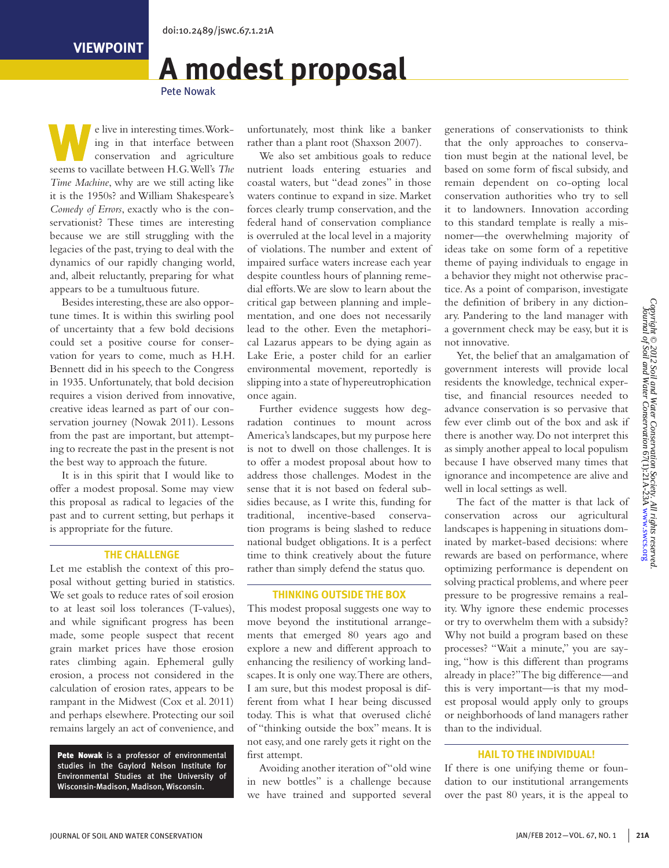# **A modest proposal**

Pete Nowak

e live in interesting times. Work-<br>
ing in that interface between<br>
conservation and agriculture ing in that interface between seems to vacillate between H.G. Well's *The Time Machine*, why are we still acting like it is the 1950s? and William Shakespeare's *Comedy of Errors*, exactly who is the conservationist? These times are interesting because we are still struggling with the legacies of the past, trying to deal with the dynamics of our rapidly changing world, and, albeit reluctantly, preparing for what appears to be a tumultuous future.

Besides interesting, these are also opportune times. It is within this swirling pool of uncertainty that a few bold decisions could set a positive course for conservation for years to come, much as H.H. Bennett did in his speech to the Congress in 1935. Unfortunately, that bold decision requires a vision derived from innovative, creative ideas learned as part of our conservation journey (Nowak 2011). Lessons from the past are important, but attempting to recreate the past in the present is not the best way to approach the future.

It is in this spirit that I would like to offer a modest proposal. Some may view this proposal as radical to legacies of the past and to current setting, but perhaps it is appropriate for the future.

#### **THE CHALLENGE**

Let me establish the context of this proposal without getting buried in statistics. We set goals to reduce rates of soil erosion to at least soil loss tolerances (T-values), and while significant progress has been made, some people suspect that recent grain market prices have those erosion rates climbing again. Ephemeral gully erosion, a process not considered in the calculation of erosion rates, appears to be rampant in the Midwest (Cox et al. 2011) and perhaps elsewhere. Protecting our soil remains largely an act of convenience, and

Pete Nowak is a professor of environmental studies in the Gaylord Nelson Institute for Environmental Studies at the University of Wisconsin-Madison, Madison, Wisconsin.

unfortunately, most think like a banker rather than a plant root (Shaxson 2007).

We also set ambitious goals to reduce nutrient loads entering estuaries and coastal waters, but "dead zones" in those waters continue to expand in size. Market forces clearly trump conservation, and the federal hand of conservation compliance is overruled at the local level in a majority of violations. The number and extent of impaired surface waters increase each year despite countless hours of planning remedial efforts. We are slow to learn about the critical gap between planning and implementation, and one does not necessarily lead to the other. Even the metaphorical Lazarus appears to be dying again as Lake Erie, a poster child for an earlier environmental movement, reportedly is slipping into a state of hypereutrophication once again.

Further evidence suggests how degradation continues to mount across America's landscapes, but my purpose here is not to dwell on those challenges. It is to offer a modest proposal about how to address those challenges. Modest in the sense that it is not based on federal subsidies because, as I write this, funding for traditional, incentive-based conservation programs is being slashed to reduce national budget obligations. It is a perfect time to think creatively about the future rather than simply defend the status quo.

#### **THINKING OUTSIDE THE BOX**

This modest proposal suggests one way to move beyond the institutional arrangements that emerged 80 years ago and explore a new and different approach to enhancing the resiliency of working landscapes. It is only one way. There are others, I am sure, but this modest proposal is different from what I hear being discussed today. This is what that overused cliché of "thinking outside the box" means. It is not easy, and one rarely gets it right on the first attempt.

Avoiding another iteration of "old wine in new bottles" is a challenge because we have trained and supported several generations of conservationists to think that the only approaches to conservation must begin at the national level, be based on some form of fiscal subsidy, and remain dependent on co-opting local conservation authorities who try to sell it to landowners. Innovation according to this standard template is really a misnomer—the overwhelming majority of ideas take on some form of a repetitive theme of paying individuals to engage in a behavior they might not otherwise practice. As a point of comparison, investigate the definition of bribery in any dictionary. Pandering to the land manager with a government check may be easy, but it is not innovative.

Yet, the belief that an amalgamation of government interests will provide local residents the knowledge, technical expertise, and financial resources needed to advance conservation is so pervasive that few ever climb out of the box and ask if there is another way. Do not interpret this as simply another appeal to local populism because I have observed many times that ignorance and incompetence are alive and well in local settings as well.

The fact of the matter is that lack of conservation across our agricultural landscapes is happening in situations dominated by market-based decisions: where rewards are based on performance, where optimizing performance is dependent on solving practical problems, and where peer pressure to be progressive remains a reality. Why ignore these endemic processes or try to overwhelm them with a subsidy? Why not build a program based on these processes? "Wait a minute," you are saying, "how is this different than programs already in place?" The big difference—and this is very important—is that my modest proposal would apply only to groups or neighborhoods of land managers rather than to the individual.

### **HAIL TO THE INDIVIDUAL!**

If there is one unifying theme or foundation to our institutional arrangements over the past 80 years, it is the appeal to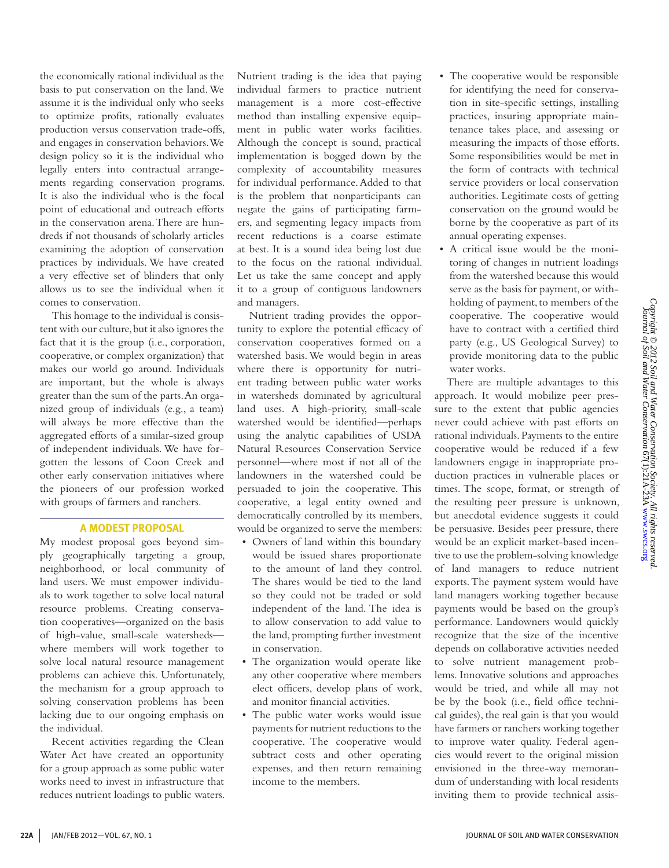the economically rational individual as the basis to put conservation on the land. We assume it is the individual only who seeks to optimize profits, rationally evaluates production versus conservation trade-offs, and engages in conservation behaviors. We design policy so it is the individual who legally enters into contractual arrangements regarding conservation programs. It is also the individual who is the focal point of educational and outreach efforts in the conservation arena. There are hundreds if not thousands of scholarly articles examining the adoption of conservation practices by individuals. We have created a very effective set of blinders that only allows us to see the individual when it comes to conservation.

This homage to the individual is consistent with our culture, but it also ignores the fact that it is the group (i.e., corporation, cooperative, or complex organization) that makes our world go around. Individuals are important, but the whole is always greater than the sum of the parts. An organized group of individuals (e.g., a team) will always be more effective than the aggregated efforts of a similar-sized group of independent individuals. We have forgotten the lessons of Coon Creek and other early conservation initiatives where the pioneers of our profession worked with groups of farmers and ranchers.

## **A MODEST PROPOSAL**

My modest proposal goes beyond simply geographically targeting a group, neighborhood, or local community of land users. We must empower individuals to work together to solve local natural resource problems. Creating conservation cooperatives—organized on the basis of high-value, small-scale watersheds where members will work together to solve local natural resource management problems can achieve this. Unfortunately, the mechanism for a group approach to solving conservation problems has been lacking due to our ongoing emphasis on the individual.

Recent activities regarding the Clean Water Act have created an opportunity for a group approach as some public water works need to invest in infrastructure that reduces nutrient loadings to public waters. Nutrient trading is the idea that paying individual farmers to practice nutrient management is a more cost-effective method than installing expensive equipment in public water works facilities. Although the concept is sound, practical implementation is bogged down by the complexity of accountability measures for individual performance. Added to that is the problem that nonparticipants can negate the gains of participating farmers, and segmenting legacy impacts from recent reductions is a coarse estimate at best. It is a sound idea being lost due to the focus on the rational individual. Let us take the same concept and apply it to a group of contiguous landowners and managers.

Nutrient trading provides the opportunity to explore the potential efficacy of conservation cooperatives formed on a watershed basis. We would begin in areas where there is opportunity for nutrient trading between public water works in watersheds dominated by agricultural land uses. A high-priority, small-scale watershed would be identified—perhaps using the analytic capabilities of USDA Natural Resources Conservation Service personnel—where most if not all of the landowners in the watershed could be persuaded to join the cooperative. This cooperative, a legal entity owned and democratically controlled by its members, would be organized to serve the members:

- • Owners of land within this boundary would be issued shares proportionate to the amount of land they control. The shares would be tied to the land so they could not be traded or sold independent of the land. The idea is to allow conservation to add value to the land, prompting further investment in conservation.
- The organization would operate like any other cooperative where members elect officers, develop plans of work, and monitor financial activities.
- The public water works would issue payments for nutrient reductions to the cooperative. The cooperative would subtract costs and other operating expenses, and then return remaining income to the members.
- The cooperative would be responsible for identifying the need for conservation in site-specific settings, installing practices, insuring appropriate maintenance takes place, and assessing or measuring the impacts of those efforts. Some responsibilities would be met in the form of contracts with technical service providers or local conservation authorities. Legitimate costs of getting conservation on the ground would be borne by the cooperative as part of its annual operating expenses.
- A critical issue would be the monitoring of changes in nutrient loadings from the watershed because this would serve as the basis for payment, or withholding of payment, to members of the cooperative. The cooperative would have to contract with a certified third party (e.g., US Geological Survey) to provide monitoring data to the public water works.

There are multiple advantages to this approach. It would mobilize peer pressure to the extent that public agencies never could achieve with past efforts on rational individuals. Payments to the entire cooperative would be reduced if a few landowners engage in inappropriate production practices in vulnerable places or times. The scope, format, or strength of the resulting peer pressure is unknown, but anecdotal evidence suggests it could be persuasive. Besides peer pressure, there would be an explicit market-based incentive to use the problem-solving knowledge of land managers to reduce nutrient exports. The payment system would have land managers working together because payments would be based on the group's performance. Landowners would quickly recognize that the size of the incentive depends on collaborative activities needed to solve nutrient management problems. Innovative solutions and approaches would be tried, and while all may not be by the book (i.e., field office technical guides), the real gain is that you would have farmers or ranchers working together to improve water quality. Federal agencies would revert to the original mission envisioned in the three-way memorandum of understanding with local residents inviting them to provide technical assis